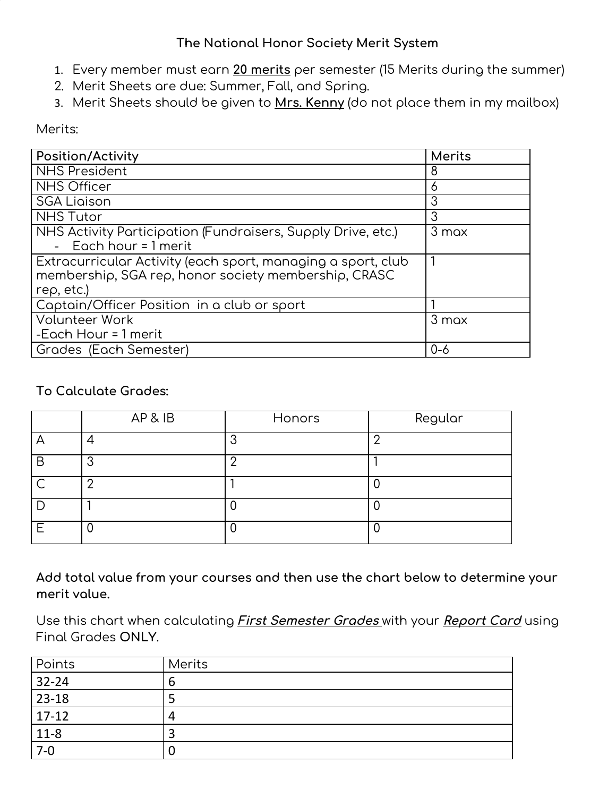### **The National Honor Society Merit System**

- 1. Every member must earn **20 merits** per semester (15 Merits during the summer)
- 2. Merit Sheets are due: Summer, Fall, and Spring.
- 3. Merit Sheets should be given to **Mrs. Kenny** (do not place them in my mailbox)

#### Merits:

| Position/Activity                                                                                                                 | <b>Merits</b> |
|-----------------------------------------------------------------------------------------------------------------------------------|---------------|
| <b>NHS President</b>                                                                                                              | 8             |
| <b>NHS Officer</b>                                                                                                                | 6             |
| <b>SGA Ligison</b>                                                                                                                | 3             |
| <b>NHS Tutor</b>                                                                                                                  | 3             |
| NHS Activity Participation (Fundraisers, Supply Drive, etc.)<br>- Each hour $= 1$ merit                                           | 3 max         |
| Extracurricular Activity (each sport, managing a sport, club<br>membership, SGA rep, honor society membership, CRASC<br>rep, etc. | 1             |
| Captain/Officer Position in a club or sport                                                                                       |               |
| <b>Volunteer Work</b>                                                                                                             | 3 max         |
| -Each Hour = 1 merit                                                                                                              |               |
| Grades (Each Semester)                                                                                                            | $0 - 6$       |

### **To Calculate Grades:**

|           | AP & IB | Honors | Regular |
|-----------|---------|--------|---------|
| ⊢         |         | ◠      | C       |
| B         | ⌒       |        |         |
| $\subset$ | C       |        |         |
|           |         |        |         |
| F         |         |        |         |

**Add total value from your courses and then use the chart below to determine your merit value.**

Use this chart when calculating **First Semester Grades** with your **Report Card** using Final Grades **ONLY**.

| Points             | <b>Merits</b> |
|--------------------|---------------|
| $32 - 24$          |               |
| $23-18$            |               |
| $\boxed{17-12}$    |               |
| $\frac{11-8}{7-0}$ |               |
|                    |               |